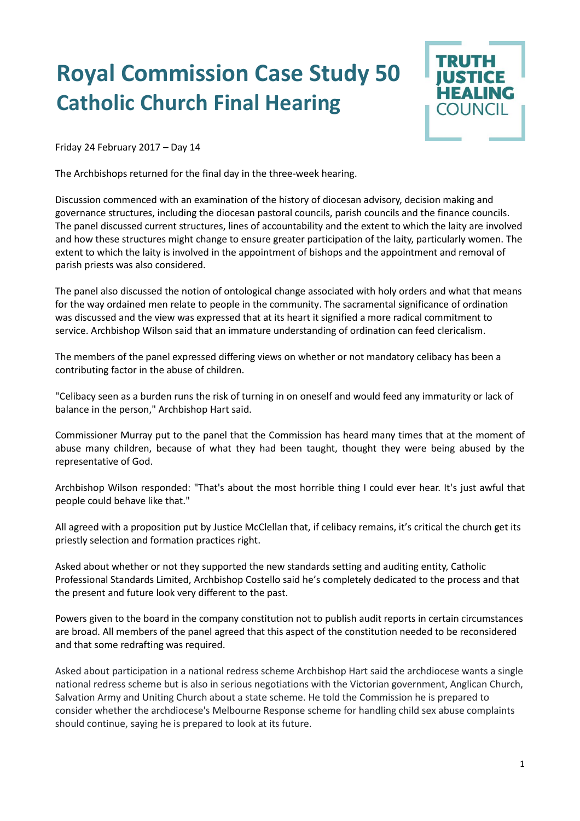## **Royal Commission Case Study 50 Catholic Church Final Hearing**



Friday 24 February 2017 – Day 14

The Archbishops returned for the final day in the three-week hearing.

Discussion commenced with an examination of the history of diocesan advisory, decision making and governance structures, including the diocesan pastoral councils, parish councils and the finance councils. The panel discussed current structures, lines of accountability and the extent to which the laity are involved and how these structures might change to ensure greater participation of the laity, particularly women. The extent to which the laity is involved in the appointment of bishops and the appointment and removal of parish priests was also considered.

The panel also discussed the notion of ontological change associated with holy orders and what that means for the way ordained men relate to people in the community. The sacramental significance of ordination was discussed and the view was expressed that at its heart it signified a more radical commitment to service. Archbishop Wilson said that an immature understanding of ordination can feed clericalism.

The members of the panel expressed differing views on whether or not mandatory celibacy has been a contributing factor in the abuse of children.

"Celibacy seen as a burden runs the risk of turning in on oneself and would feed any immaturity or lack of balance in the person," Archbishop Hart said.

Commissioner Murray put to the panel that the Commission has heard many times that at the moment of abuse many children, because of what they had been taught, thought they were being abused by the representative of God.

Archbishop Wilson responded: "That's about the most horrible thing I could ever hear. It's just awful that people could behave like that."

All agreed with a proposition put by Justice McClellan that, if celibacy remains, it's critical the church get its priestly selection and formation practices right.

Asked about whether or not they supported the new standards setting and auditing entity, Catholic Professional Standards Limited, Archbishop Costello said he's completely dedicated to the process and that the present and future look very different to the past.

Powers given to the board in the company constitution not to publish audit reports in certain circumstances are broad. All members of the panel agreed that this aspect of the constitution needed to be reconsidered and that some redrafting was required.

Asked about participation in a national redress scheme Archbishop Hart said the archdiocese wants a single national redress scheme but is also in serious negotiations with the Victorian government, Anglican Church, Salvation Army and Uniting Church about a state scheme. He told the Commission he is prepared to consider whether the archdiocese's Melbourne Response scheme for handling child sex abuse complaints should continue, saying he is prepared to look at its future.